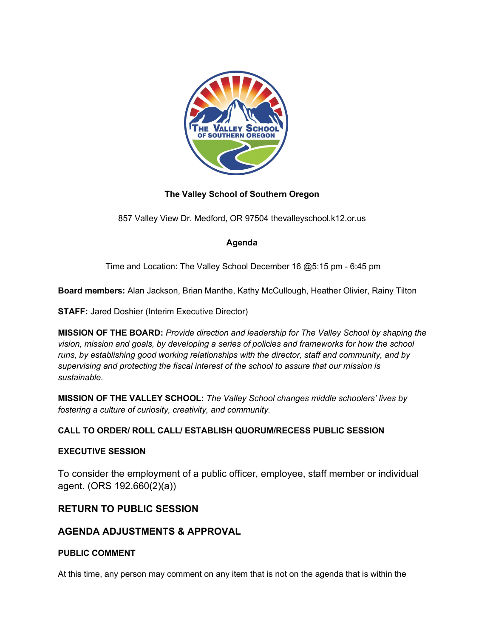

## **The Valley School of Southern Oregon**

857 Valley View Dr. Medford, OR 97504 thevalleyschool.k12.or.us

## **Agenda**

Time and Location: The Valley School December 16 @5:15 pm - 6:45 pm

**Board members:** Alan Jackson, Brian Manthe, Kathy McCullough, Heather Olivier, Rainy Tilton

**STAFF: Jared Doshier (Interim Executive Director)** 

**MISSION OF THE BOARD:** *Provide direction and leadership for The Valley School by shaping the vision, mission and goals, by developing a series of policies and frameworks for how the school runs, by establishing good working relationships with the director, staff and community, and by supervising and protecting the fiscal interest of the school to assure that our mission is sustainable.* 

**MISSION OF THE VALLEY SCHOOL:** *The Valley School changes middle schoolers' lives by fostering a culture of curiosity, creativity, and community.*

## **CALL TO ORDER/ ROLL CALL/ ESTABLISH QUORUM/RECESS PUBLIC SESSION**

#### **EXECUTIVE SESSION**

To consider the employment of a public officer, employee, staff member or individual agent. (ORS 192.660(2)(a))

## **RETURN TO PUBLIC SESSION**

# **AGENDA ADJUSTMENTS & APPROVAL**

#### **PUBLIC COMMENT**

At this time, any person may comment on any item that is not on the agenda that is within the